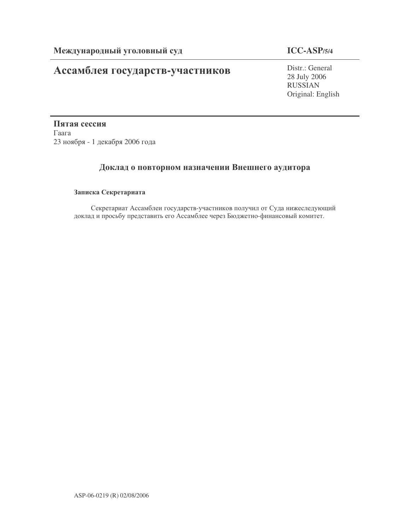# Ассамблея государств-участников

### **ICC-ASP/5/4**

Distr.: General 28 July 2006 RUSSIAN Original: English

Пятая сессия  $\Gamma$ аага 23 ноября - 1 декабря 2006 года

### Доклад о повторном назначении Внешнего аудитора

### Записка Секретариата

Секретариат Ассамблеи государств-участников получил от Суда нижеследующий доклад и просьбу представить его Ассамблее через Бюджетно-финансовый комитет.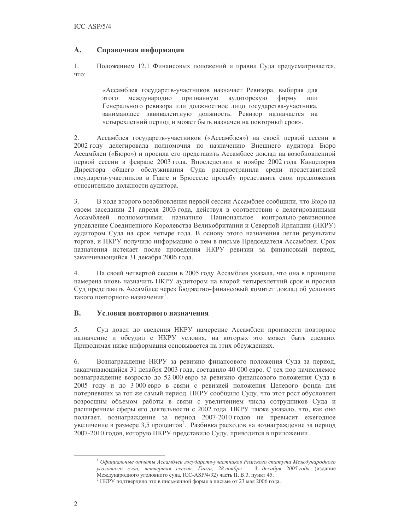#### $\mathbf{A}$ . Справочная информация

 $1.$ Положением 12.1 Финансовых положений и правил Суда предусматривается, что:

> «Ассамблея государств-участников назначает Ревизора, выбирая для этого международно признанную аудиторскую фирму или Генерального ревизора или должностное лицо государства-участника, занимающее эквивалентную должность. Ревизор назначается на четырехлетний период и может быть назначен на повторный срок».

Ассамблея государств-участников («Ассамблея») на своей первой сессии в  $2.$ 2002 году делегировала полномочия по назначению Внешнего аудитора Бюро Ассамблеи («Бюро») и просила его представить Ассамблее доклад на возобновленной первой сессии в феврале 2003 года. Впоследствии в ноябре 2002 года Канцелярия Директора общего обслуживания Суда распространила среди представителей государств-участников в Гааге и Брюсселе просьбу представить свои предложения относительно должности аудитора.

3. В ходе второго возобновления первой сессии Ассамблее сообщили, что Бюро на своем заседании 21 апреля 2003 года, действуя в соответствии с делегированными Ассамблеей полномочиями, назначило Национальное контрольно-ревизионное управление Соединенного Королевства Великобритании и Северной Ирландии (НКРУ) аудитором Суда на срок четыре года. В основу этого назначения легли результаты торгов, и НКРУ получило информацию о нем в письме Председателя Ассамблеи. Срок назначения истекает после проведения НКРУ ревизии за финансовый период, заканчивающийся 31 декабря 2006 года.

4. На своей четвертой сессии в 2005 году Ассамблея указала, что она в принципе намерена вновь назначить НКРУ аудитором на второй четырехлетний срок и просила Суд представить Ассамблее через Бюджетно-финансовый комитет доклад об условиях такого повторного назначения<sup>1</sup>.

#### **B.** Условия повторного назначения

 $5<sub>1</sub>$ Суд довел до сведения НКРУ намерение Ассамблеи произвести повторное назначение и обсудил с НКРУ условия, на которых это может быть сделано. Приводимая ниже информация основывается на этих обсуждениях.

Вознаграждение НКРУ за ревизию финансового положения Суда за период, 6. заканчивающийся 31 декабря 2003 года, составило 40 000 евро. С тех пор начисляемое вознаграждение возросло до 52 000 евро за ревизию финансового положения Суда в 2005 году и до 3 000 евро в связи с ревизией положения Целевого фонда для потерпевших за тот же самый период. НКРУ сообщило Суду, что этот рост обусловлен возросшим объемом работы в связи с увеличением числа сотрудников Суда и расширением сферы его деятельности с 2002 года. НКРУ также указало, что, как оно полагает, вознаграждение за период 2007-2010 годов не превысит ежегодное увеличение в размере 3,5 процентов<sup>2</sup>. Разбивка расходов на вознаграждение за период 2007-2010 годов, которую НКРУ представило Суду, приводится в приложении.

<sup>&</sup>lt;sup>1</sup> Официальные отчеты Ассамблеи государств-участников Римского статута Международного уголовного суда, четвертая сессия, Гаага, 28 ноября - 3 декабря 2005 года (издание Международного уголовного суда, ICC-ASP/4/32) часть II, В.3, пункт 45.

<sup>&</sup>lt;sup>2</sup> НКРУ подтвердило это в письменной форме в письме от 23 мая 2006 года.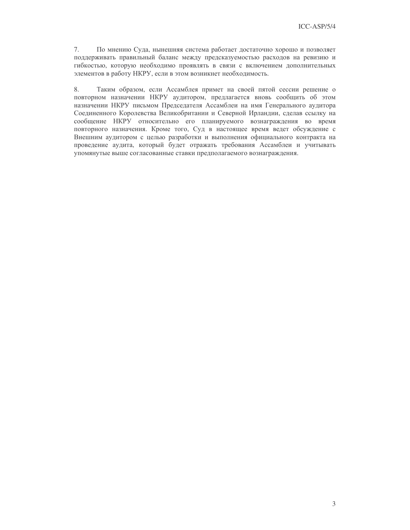7. По мнению Суда, нынешняя система работает достаточно хорошо и позволяет поддерживать правильный баланс между предсказуемостью расходов на ревизию и гибкостью, которую необходимо проявлять в связи с включением дополнительных элементов в работу НКРУ, если в этом возникнет необходимость.

Таким образом, если Ассамблея примет на своей пятой сессии решение о 8. повторном назначении НКРУ аудитором, предлагается вновь сообщить об этом назначении НКРУ письмом Председателя Ассамблеи на имя Генерального аудитора Соединенного Королевства Великобритании и Северной Ирландии, сделав ссылку на сообщение НКРУ относительно его планируемого вознаграждения во время повторного назначения. Кроме того, Суд в настоящее время ведет обсуждение с Внешним аудитором с целью разработки и выполнения официального контракта на проведение аудита, который будет отражать требования Ассамблеи и учитывать упомянутые выше согласованные ставки предполагаемого вознаграждения.